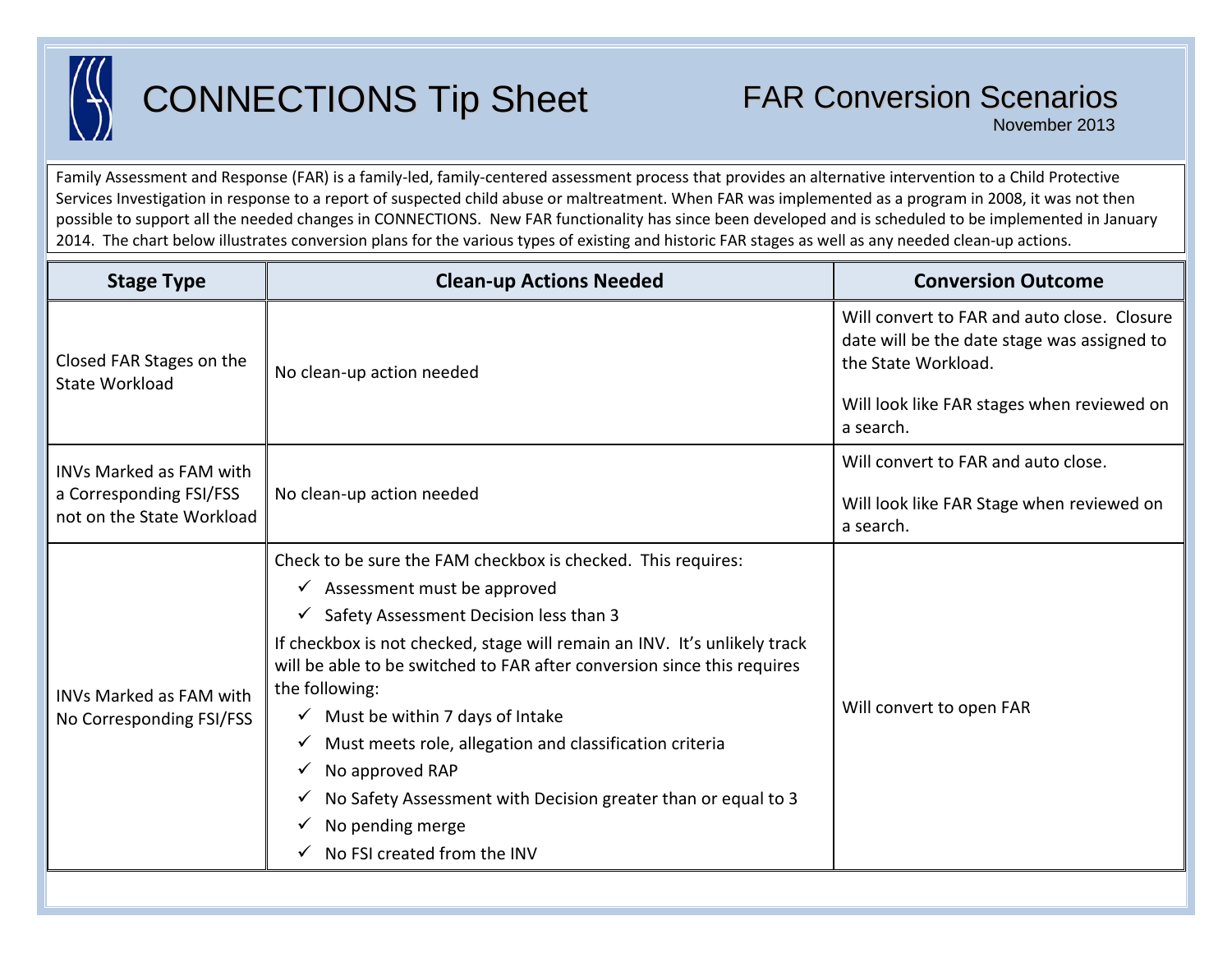

## CONNECTIONS Tip Sheet

November 2013

Family Assessment and Response (FAR) is a family-led, family-centered assessment process that provides an alternative intervention to a Child Protective Services Investigation in response to a report of suspected child abuse or maltreatment. When FAR was implemented as a program in 2008, it was not then possible to support all the needed changes in CONNECTIONS. New FAR functionality has since been developed and is scheduled to be implemented in January 2014. The chart below illustrates conversion plans for the various types of existing and historic FAR stages as well as any needed clean-up actions.

| <b>Stage Type</b>                                                                      | <b>Clean-up Actions Needed</b>                                                                                                                                         | <b>Conversion Outcome</b>                                                                                                                                       |
|----------------------------------------------------------------------------------------|------------------------------------------------------------------------------------------------------------------------------------------------------------------------|-----------------------------------------------------------------------------------------------------------------------------------------------------------------|
| Closed FAR Stages on the<br><b>State Workload</b>                                      | No clean-up action needed                                                                                                                                              | Will convert to FAR and auto close. Closure<br>date will be the date stage was assigned to<br>the State Workload.<br>Will look like FAR stages when reviewed on |
|                                                                                        |                                                                                                                                                                        | a search.                                                                                                                                                       |
| <b>INVs Marked as FAM with</b><br>a Corresponding FSI/FSS<br>not on the State Workload |                                                                                                                                                                        | Will convert to FAR and auto close.                                                                                                                             |
|                                                                                        | No clean-up action needed                                                                                                                                              | Will look like FAR Stage when reviewed on<br>a search.                                                                                                          |
| <b>INVs Marked as FAM with</b><br>No Corresponding FSI/FSS                             | Check to be sure the FAM checkbox is checked. This requires:                                                                                                           |                                                                                                                                                                 |
|                                                                                        | $\checkmark$ Assessment must be approved                                                                                                                               |                                                                                                                                                                 |
|                                                                                        | $\checkmark$ Safety Assessment Decision less than 3                                                                                                                    |                                                                                                                                                                 |
|                                                                                        | If checkbox is not checked, stage will remain an INV. It's unlikely track<br>will be able to be switched to FAR after conversion since this requires<br>the following: | Will convert to open FAR                                                                                                                                        |
|                                                                                        | $\checkmark$ Must be within 7 days of Intake                                                                                                                           |                                                                                                                                                                 |
|                                                                                        | Must meets role, allegation and classification criteria<br>$\checkmark$                                                                                                |                                                                                                                                                                 |
|                                                                                        | No approved RAP                                                                                                                                                        |                                                                                                                                                                 |
|                                                                                        | No Safety Assessment with Decision greater than or equal to 3                                                                                                          |                                                                                                                                                                 |
|                                                                                        | No pending merge                                                                                                                                                       |                                                                                                                                                                 |
|                                                                                        | No FSI created from the INV                                                                                                                                            |                                                                                                                                                                 |